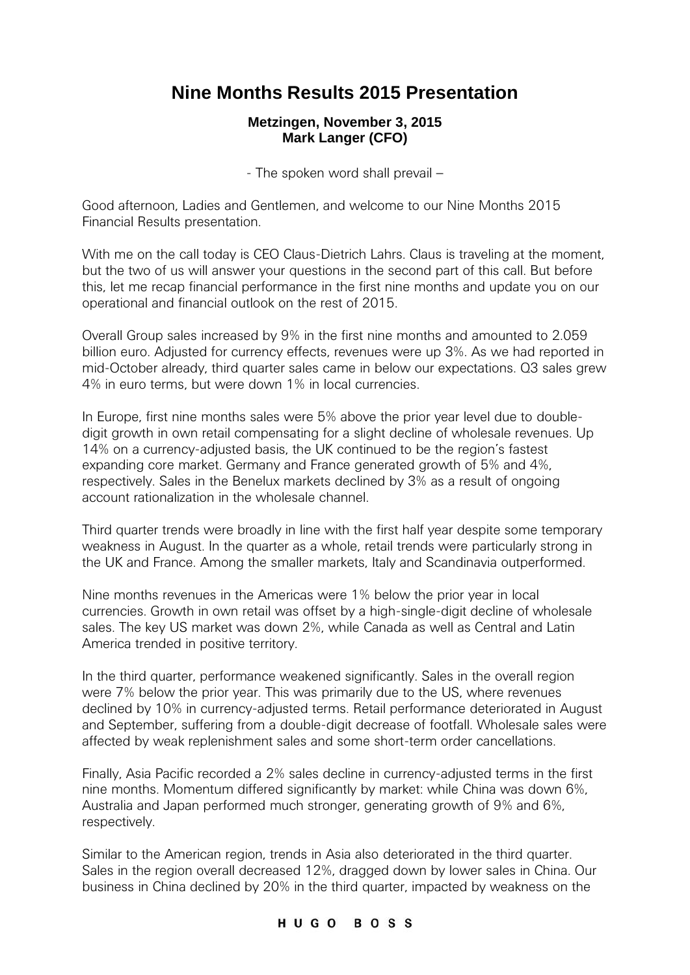# **Nine Months Results 2015 Presentation**

## **Metzingen, November 3, 2015 Mark Langer (CFO)**

- The spoken word shall prevail –

Good afternoon, Ladies and Gentlemen, and welcome to our Nine Months 2015 Financial Results presentation.

With me on the call today is CEO Claus-Dietrich Lahrs. Claus is traveling at the moment, but the two of us will answer your questions in the second part of this call. But before this, let me recap financial performance in the first nine months and update you on our operational and financial outlook on the rest of 2015.

Overall Group sales increased by 9% in the first nine months and amounted to 2.059 billion euro. Adjusted for currency effects, revenues were up 3%. As we had reported in mid-October already, third quarter sales came in below our expectations. Q3 sales grew 4% in euro terms, but were down 1% in local currencies.

In Europe, first nine months sales were 5% above the prior year level due to doubledigit growth in own retail compensating for a slight decline of wholesale revenues. Up 14% on a currency-adjusted basis, the UK continued to be the region's fastest expanding core market. Germany and France generated growth of 5% and 4%, respectively. Sales in the Benelux markets declined by 3% as a result of ongoing account rationalization in the wholesale channel.

Third quarter trends were broadly in line with the first half year despite some temporary weakness in August. In the quarter as a whole, retail trends were particularly strong in the UK and France. Among the smaller markets, Italy and Scandinavia outperformed.

Nine months revenues in the Americas were 1% below the prior year in local currencies. Growth in own retail was offset by a high-single-digit decline of wholesale sales. The key US market was down 2%, while Canada as well as Central and Latin America trended in positive territory.

In the third quarter, performance weakened significantly. Sales in the overall region were 7% below the prior year. This was primarily due to the US, where revenues declined by 10% in currency-adjusted terms. Retail performance deteriorated in August and September, suffering from a double-digit decrease of footfall. Wholesale sales were affected by weak replenishment sales and some short-term order cancellations.

Finally, Asia Pacific recorded a 2% sales decline in currency-adjusted terms in the first nine months. Momentum differed significantly by market: while China was down 6%, Australia and Japan performed much stronger, generating growth of 9% and 6%, respectively.

Similar to the American region, trends in Asia also deteriorated in the third quarter. Sales in the region overall decreased 12%, dragged down by lower sales in China. Our business in China declined by 20% in the third quarter, impacted by weakness on the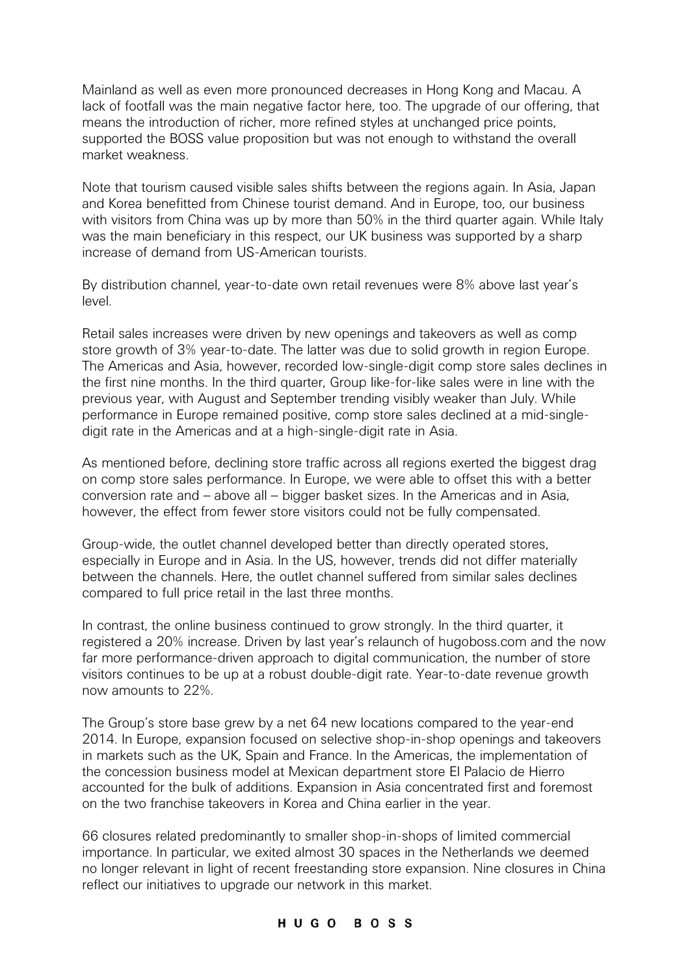Mainland as well as even more pronounced decreases in Hong Kong and Macau. A lack of footfall was the main negative factor here, too. The upgrade of our offering, that means the introduction of richer, more refined styles at unchanged price points, supported the BOSS value proposition but was not enough to withstand the overall market weakness.

Note that tourism caused visible sales shifts between the regions again. In Asia, Japan and Korea benefitted from Chinese tourist demand. And in Europe, too, our business with visitors from China was up by more than 50% in the third quarter again. While Italy was the main beneficiary in this respect, our UK business was supported by a sharp increase of demand from US-American tourists.

By distribution channel, year-to-date own retail revenues were 8% above last year's level.

Retail sales increases were driven by new openings and takeovers as well as comp store growth of 3% year-to-date. The latter was due to solid growth in region Europe. The Americas and Asia, however, recorded low-single-digit comp store sales declines in the first nine months. In the third quarter, Group like-for-like sales were in line with the previous year, with August and September trending visibly weaker than July. While performance in Europe remained positive, comp store sales declined at a mid-singledigit rate in the Americas and at a high-single-digit rate in Asia.

As mentioned before, declining store traffic across all regions exerted the biggest drag on comp store sales performance. In Europe, we were able to offset this with a better conversion rate and – above all – bigger basket sizes. In the Americas and in Asia, however, the effect from fewer store visitors could not be fully compensated.

Group-wide, the outlet channel developed better than directly operated stores, especially in Europe and in Asia. In the US, however, trends did not differ materially between the channels. Here, the outlet channel suffered from similar sales declines compared to full price retail in the last three months.

In contrast, the online business continued to grow strongly. In the third quarter, it registered a 20% increase. Driven by last year's relaunch of hugoboss.com and the now far more performance-driven approach to digital communication, the number of store visitors continues to be up at a robust double-digit rate. Year-to-date revenue growth now amounts to 22%.

The Group's store base grew by a net 64 new locations compared to the year-end 2014. In Europe, expansion focused on selective shop-in-shop openings and takeovers in markets such as the UK, Spain and France. In the Americas, the implementation of the concession business model at Mexican department store El Palacio de Hierro accounted for the bulk of additions. Expansion in Asia concentrated first and foremost on the two franchise takeovers in Korea and China earlier in the year.

66 closures related predominantly to smaller shop-in-shops of limited commercial importance. In particular, we exited almost 30 spaces in the Netherlands we deemed no longer relevant in light of recent freestanding store expansion. Nine closures in China reflect our initiatives to upgrade our network in this market.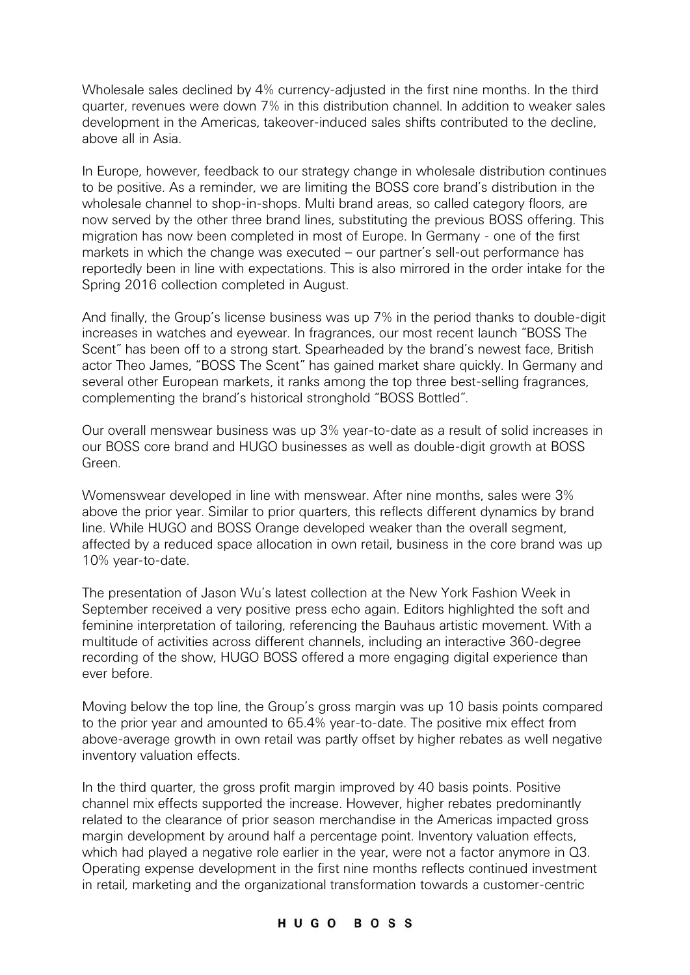Wholesale sales declined by 4% currency-adjusted in the first nine months. In the third quarter, revenues were down 7% in this distribution channel. In addition to weaker sales development in the Americas, takeover-induced sales shifts contributed to the decline, above all in Asia.

In Europe, however, feedback to our strategy change in wholesale distribution continues to be positive. As a reminder, we are limiting the BOSS core brand's distribution in the wholesale channel to shop-in-shops. Multi brand areas, so called category floors, are now served by the other three brand lines, substituting the previous BOSS offering. This migration has now been completed in most of Europe. In Germany - one of the first markets in which the change was executed – our partner's sell-out performance has reportedly been in line with expectations. This is also mirrored in the order intake for the Spring 2016 collection completed in August.

And finally, the Group's license business was up 7% in the period thanks to double-digit increases in watches and eyewear. In fragrances, our most recent launch "BOSS The Scent" has been off to a strong start. Spearheaded by the brand's newest face, British actor Theo James, "BOSS The Scent" has gained market share quickly. In Germany and several other European markets, it ranks among the top three best-selling fragrances, complementing the brand's historical stronghold "BOSS Bottled".

Our overall menswear business was up 3% year-to-date as a result of solid increases in our BOSS core brand and HUGO businesses as well as double-digit growth at BOSS Green.

Womenswear developed in line with menswear. After nine months, sales were 3% above the prior year. Similar to prior quarters, this reflects different dynamics by brand line. While HUGO and BOSS Orange developed weaker than the overall segment, affected by a reduced space allocation in own retail, business in the core brand was up 10% year-to-date.

The presentation of Jason Wu's latest collection at the New York Fashion Week in September received a very positive press echo again. Editors highlighted the soft and feminine interpretation of tailoring, referencing the Bauhaus artistic movement. With a multitude of activities across different channels, including an interactive 360-degree recording of the show, HUGO BOSS offered a more engaging digital experience than ever before.

Moving below the top line, the Group's gross margin was up 10 basis points compared to the prior year and amounted to 65.4% year-to-date. The positive mix effect from above-average growth in own retail was partly offset by higher rebates as well negative inventory valuation effects.

In the third quarter, the gross profit margin improved by 40 basis points. Positive channel mix effects supported the increase. However, higher rebates predominantly related to the clearance of prior season merchandise in the Americas impacted gross margin development by around half a percentage point. Inventory valuation effects, which had played a negative role earlier in the year, were not a factor anymore in Q3. Operating expense development in the first nine months reflects continued investment in retail, marketing and the organizational transformation towards a customer-centric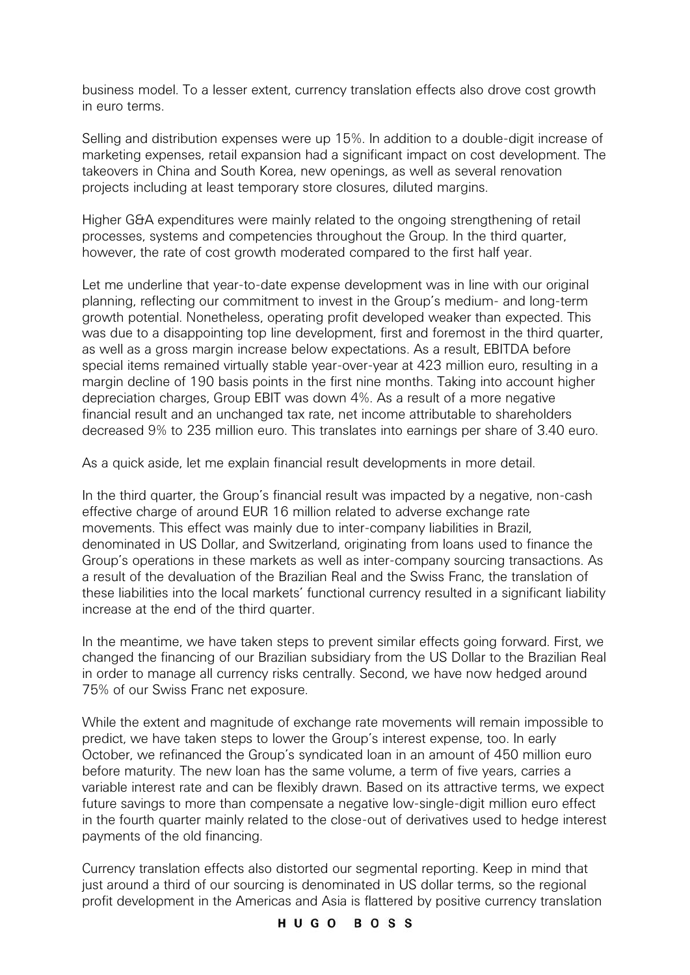business model. To a lesser extent, currency translation effects also drove cost growth in euro terms.

Selling and distribution expenses were up 15%. In addition to a double-digit increase of marketing expenses, retail expansion had a significant impact on cost development. The takeovers in China and South Korea, new openings, as well as several renovation projects including at least temporary store closures, diluted margins.

Higher G&A expenditures were mainly related to the ongoing strengthening of retail processes, systems and competencies throughout the Group. In the third quarter, however, the rate of cost growth moderated compared to the first half year.

Let me underline that year-to-date expense development was in line with our original planning, reflecting our commitment to invest in the Group's medium- and long-term growth potential. Nonetheless, operating profit developed weaker than expected. This was due to a disappointing top line development, first and foremost in the third quarter, as well as a gross margin increase below expectations. As a result, EBITDA before special items remained virtually stable year-over-year at 423 million euro, resulting in a margin decline of 190 basis points in the first nine months. Taking into account higher depreciation charges, Group EBIT was down 4%. As a result of a more negative financial result and an unchanged tax rate, net income attributable to shareholders decreased 9% to 235 million euro. This translates into earnings per share of 3.40 euro.

As a quick aside, let me explain financial result developments in more detail.

In the third quarter, the Group's financial result was impacted by a negative, non-cash effective charge of around EUR 16 million related to adverse exchange rate movements. This effect was mainly due to inter-company liabilities in Brazil, denominated in US Dollar, and Switzerland, originating from loans used to finance the Group's operations in these markets as well as inter-company sourcing transactions. As a result of the devaluation of the Brazilian Real and the Swiss Franc, the translation of these liabilities into the local markets' functional currency resulted in a significant liability increase at the end of the third quarter.

In the meantime, we have taken steps to prevent similar effects going forward. First, we changed the financing of our Brazilian subsidiary from the US Dollar to the Brazilian Real in order to manage all currency risks centrally. Second, we have now hedged around 75% of our Swiss Franc net exposure.

While the extent and magnitude of exchange rate movements will remain impossible to predict, we have taken steps to lower the Group's interest expense, too. In early October, we refinanced the Group's syndicated loan in an amount of 450 million euro before maturity. The new loan has the same volume, a term of five years, carries a variable interest rate and can be flexibly drawn. Based on its attractive terms, we expect future savings to more than compensate a negative low-single-digit million euro effect in the fourth quarter mainly related to the close-out of derivatives used to hedge interest payments of the old financing.

Currency translation effects also distorted our segmental reporting. Keep in mind that just around a third of our sourcing is denominated in US dollar terms, so the regional profit development in the Americas and Asia is flattered by positive currency translation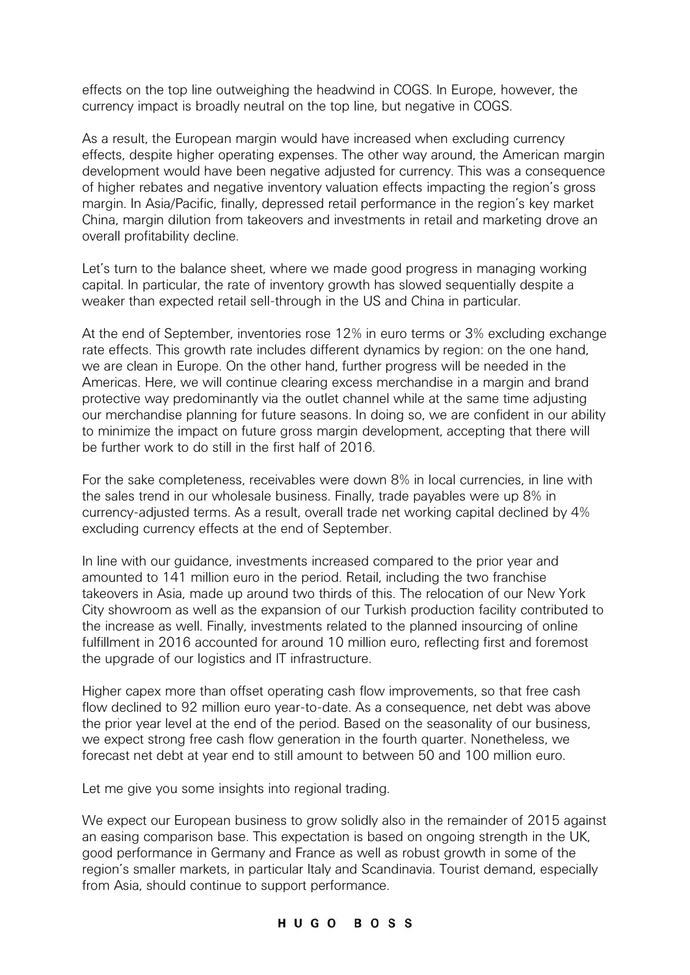effects on the top line outweighing the headwind in COGS. In Europe, however, the currency impact is broadly neutral on the top line, but negative in COGS.

As a result, the European margin would have increased when excluding currency effects, despite higher operating expenses. The other way around, the American margin development would have been negative adjusted for currency. This was a consequence of higher rebates and negative inventory valuation effects impacting the region's gross margin. In Asia/Pacific, finally, depressed retail performance in the region's key market China, margin dilution from takeovers and investments in retail and marketing drove an overall profitability decline.

Let's turn to the balance sheet, where we made good progress in managing working capital. In particular, the rate of inventory growth has slowed sequentially despite a weaker than expected retail sell-through in the US and China in particular.

At the end of September, inventories rose 12% in euro terms or 3% excluding exchange rate effects. This growth rate includes different dynamics by region: on the one hand, we are clean in Europe. On the other hand, further progress will be needed in the Americas. Here, we will continue clearing excess merchandise in a margin and brand protective way predominantly via the outlet channel while at the same time adjusting our merchandise planning for future seasons. In doing so, we are confident in our ability to minimize the impact on future gross margin development, accepting that there will be further work to do still in the first half of 2016.

For the sake completeness, receivables were down 8% in local currencies, in line with the sales trend in our wholesale business. Finally, trade payables were up 8% in currency-adjusted terms. As a result, overall trade net working capital declined by 4% excluding currency effects at the end of September.

In line with our guidance, investments increased compared to the prior year and amounted to 141 million euro in the period. Retail, including the two franchise takeovers in Asia, made up around two thirds of this. The relocation of our New York City showroom as well as the expansion of our Turkish production facility contributed to the increase as well. Finally, investments related to the planned insourcing of online fulfillment in 2016 accounted for around 10 million euro, reflecting first and foremost the upgrade of our logistics and IT infrastructure.

Higher capex more than offset operating cash flow improvements, so that free cash flow declined to 92 million euro year-to-date. As a consequence, net debt was above the prior year level at the end of the period. Based on the seasonality of our business, we expect strong free cash flow generation in the fourth quarter. Nonetheless, we forecast net debt at year end to still amount to between 50 and 100 million euro.

Let me give you some insights into regional trading.

We expect our European business to grow solidly also in the remainder of 2015 against an easing comparison base. This expectation is based on ongoing strength in the UK, good performance in Germany and France as well as robust growth in some of the region's smaller markets, in particular Italy and Scandinavia. Tourist demand, especially from Asia, should continue to support performance.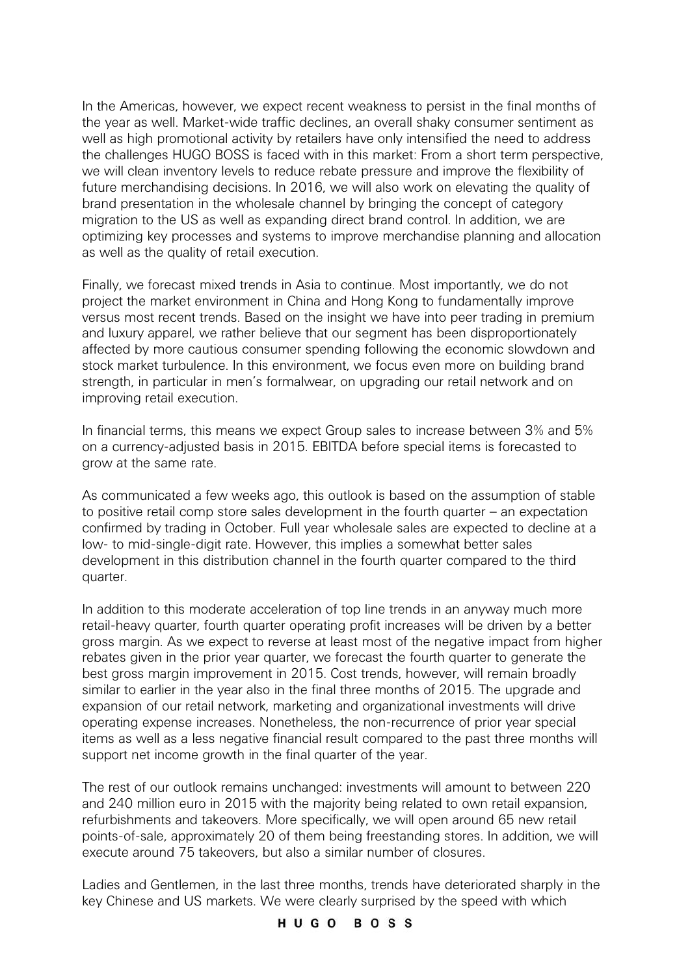In the Americas, however, we expect recent weakness to persist in the final months of the year as well. Market-wide traffic declines, an overall shaky consumer sentiment as well as high promotional activity by retailers have only intensified the need to address the challenges HUGO BOSS is faced with in this market: From a short term perspective, we will clean inventory levels to reduce rebate pressure and improve the flexibility of future merchandising decisions. In 2016, we will also work on elevating the quality of brand presentation in the wholesale channel by bringing the concept of category migration to the US as well as expanding direct brand control. In addition, we are optimizing key processes and systems to improve merchandise planning and allocation as well as the quality of retail execution.

Finally, we forecast mixed trends in Asia to continue. Most importantly, we do not project the market environment in China and Hong Kong to fundamentally improve versus most recent trends. Based on the insight we have into peer trading in premium and luxury apparel, we rather believe that our segment has been disproportionately affected by more cautious consumer spending following the economic slowdown and stock market turbulence. In this environment, we focus even more on building brand strength, in particular in men's formalwear, on upgrading our retail network and on improving retail execution.

In financial terms, this means we expect Group sales to increase between 3% and 5% on a currency-adjusted basis in 2015. EBITDA before special items is forecasted to grow at the same rate.

As communicated a few weeks ago, this outlook is based on the assumption of stable to positive retail comp store sales development in the fourth quarter – an expectation confirmed by trading in October. Full year wholesale sales are expected to decline at a low- to mid-single-digit rate. However, this implies a somewhat better sales development in this distribution channel in the fourth quarter compared to the third quarter.

In addition to this moderate acceleration of top line trends in an anyway much more retail-heavy quarter, fourth quarter operating profit increases will be driven by a better gross margin. As we expect to reverse at least most of the negative impact from higher rebates given in the prior year quarter, we forecast the fourth quarter to generate the best gross margin improvement in 2015. Cost trends, however, will remain broadly similar to earlier in the year also in the final three months of 2015. The upgrade and expansion of our retail network, marketing and organizational investments will drive operating expense increases. Nonetheless, the non-recurrence of prior year special items as well as a less negative financial result compared to the past three months will support net income growth in the final quarter of the year.

The rest of our outlook remains unchanged: investments will amount to between 220 and 240 million euro in 2015 with the majority being related to own retail expansion, refurbishments and takeovers. More specifically, we will open around 65 new retail points-of-sale, approximately 20 of them being freestanding stores. In addition, we will execute around 75 takeovers, but also a similar number of closures.

Ladies and Gentlemen, in the last three months, trends have deteriorated sharply in the key Chinese and US markets. We were clearly surprised by the speed with which